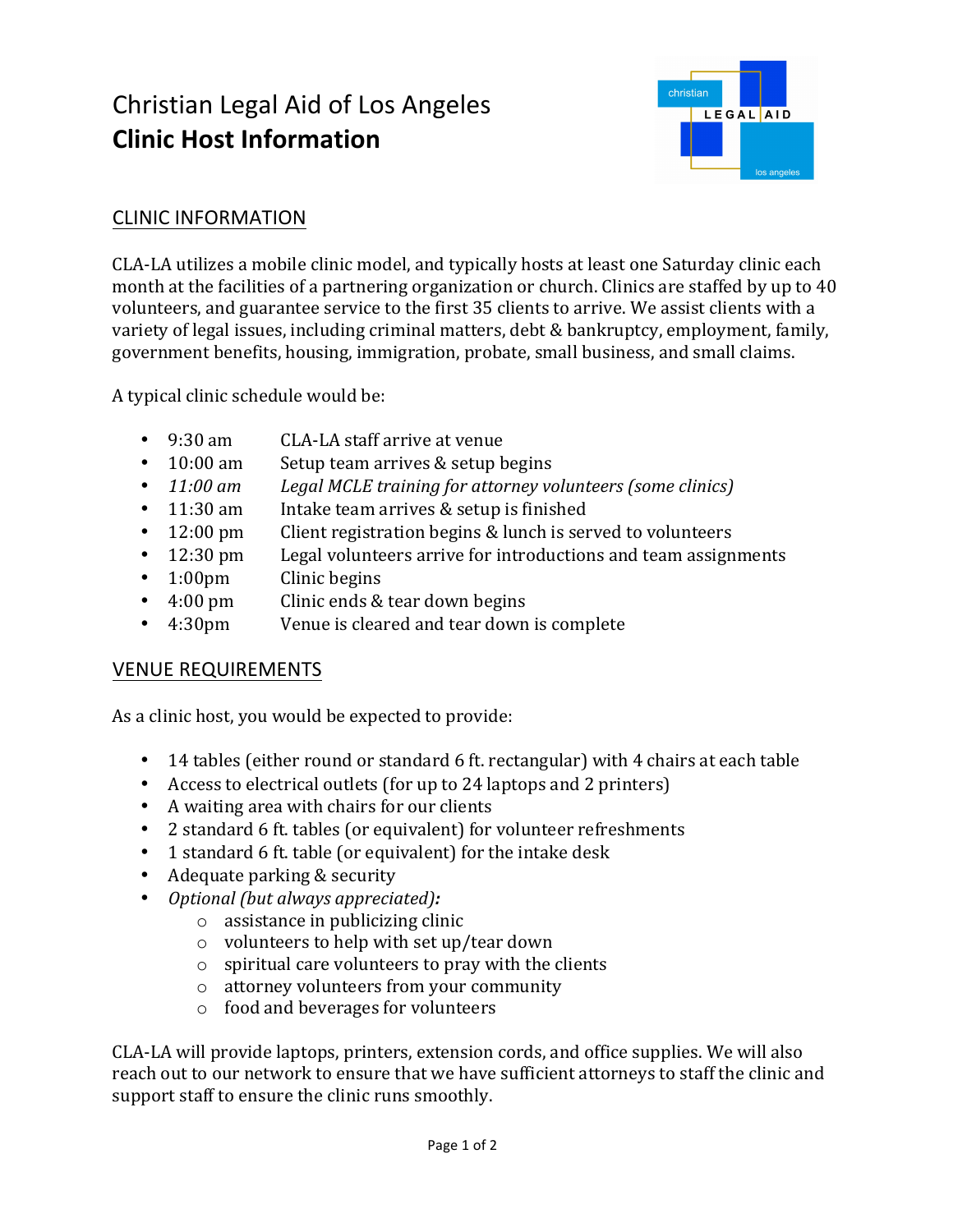# Christian Legal Aid of Los Angeles **Clinic Host Information**



### **CLINIC INFORMATION**

CLA-LA utilizes a mobile clinic model, and typically hosts at least one Saturday clinic each month at the facilities of a partnering organization or church. Clinics are staffed by up to 40 volunteers, and guarantee service to the first 35 clients to arrive. We assist clients with a variety of legal issues, including criminal matters,  $\delta$  debt  $\&$  bankruptcy, employment, family, government benefits, housing, immigration, probate, small business, and small claims.

A typical clinic schedule would be:

- 9:30 am CLA-LA staff arrive at venue
- 10:00 am Setup team arrives & setup begins
- **11:00 am** *Legal MCLE training for attorney volunteers (some clinics)*
- $\cdot$  11:30 am Intake team arrives & setup is finished
- 12:00 pm Client registration begins & lunch is served to volunteers
- 12:30 pm Legal volunteers arrive for introductions and team assignments
- 1:00pm Clinic begins
- 4:00 pm Clinic ends & tear down begins
- 4:30pm Venue is cleared and tear down is complete

### **VENUE REQUIREMENTS**

As a clinic host, you would be expected to provide:

- 14 tables (either round or standard 6 ft. rectangular) with 4 chairs at each table
- Access to electrical outlets (for up to 24 laptops and 2 printers)
- A waiting area with chairs for our clients
- 2 standard 6 ft. tables (or equivalent) for volunteer refreshments
- 1 standard 6 ft. table (or equivalent) for the intake desk
- $\bullet$  Adequate parking & security
- *Optional (but always appreciated):* 
	- $\circ$  assistance in publicizing clinic
	- $\circ$  volunteers to help with set up/tear down
	- $\circ$  spiritual care volunteers to pray with the clients
	- $\circ$  attorney volunteers from your community
	- $\circ$  food and beverages for volunteers

CLA-LA will provide laptops, printers, extension cords, and office supplies. We will also reach out to our network to ensure that we have sufficient attorneys to staff the clinic and support staff to ensure the clinic runs smoothly.